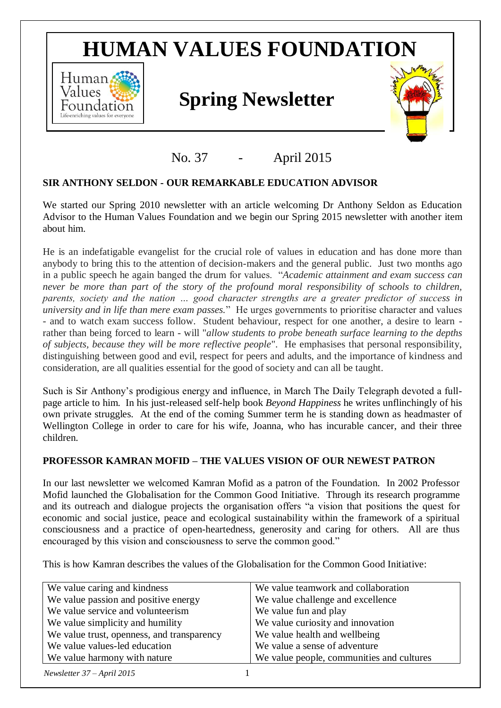# **HUMAN VALUES FOUNDATION**



# *Values Spring* **Newsletter <b>***Spring* Newsletter



# No. 37 - April 2015

## **SIR ANTHONY SELDON - OUR REMARKABLE EDUCATION ADVISOR**

We started our Spring 2010 newsletter with an article welcoming Dr Anthony Seldon as Education Advisor to the Human Values Foundation and we begin our Spring 2015 newsletter with another item about him.

He is an indefatigable evangelist for the crucial role of values in education and has done more than anybody to bring this to the attention of decision-makers and the general public. Just two months ago in a public speech he again banged the drum for values. "*Academic attainment and exam success can never be more than part of the story of the profound moral responsibility of schools to children, parents, society and the nation … good character strengths are a greater predictor of success in university and in life than mere exam passes.*" He urges governments to prioritise character and values - and to watch exam success follow. Student behaviour, respect for one another, a desire to learn rather than being forced to learn - will "*allow students to probe beneath surface learning to the depths of subjects, because they will be more reflective people*". He emphasises that personal responsibility, distinguishing between good and evil, respect for peers and adults, and the importance of kindness and consideration, are all qualities essential for the good of society and can all be taught.

Such is Sir Anthony's prodigious energy and influence, in March The Daily Telegraph devoted a fullpage article to him. In his just-released self-help book *Beyond Happiness* he writes unflinchingly of his own private struggles. At the end of the coming Summer term he is standing down as headmaster of Wellington College in order to care for his wife, Joanna, who has incurable cancer, and their three children.

## **PROFESSOR KAMRAN MOFID – THE VALUES VISION OF OUR NEWEST PATRON**

In our last newsletter we welcomed Kamran Mofid as a patron of the Foundation. In 2002 Professor Mofid launched the [Globalisation for the Common Good](http://www.gcgi.info/) Initiative. Through its research programme and its outreach and dialogue projects the organisation offers "a vision that positions the quest for economic and social justice, peace and ecological sustainability within the framework of a spiritual consciousness and a practice of open-heartedness, generosity and caring for others. All are thus encouraged by this vision and consciousness to serve the common good."

This is how Kamran describes the values of the [Globalisation for the Common Good Initiative:](http://www.gcgi.info/)

| We value caring and kindness               | We value teamwork and collaboration       |
|--------------------------------------------|-------------------------------------------|
| We value passion and positive energy       | We value challenge and excellence         |
| We value service and volunteerism          | We value fun and play                     |
| We value simplicity and humility           | We value curiosity and innovation         |
| We value trust, openness, and transparency | We value health and wellbeing             |
| We value values-led education              | We value a sense of adventure             |
| We value harmony with nature               | We value people, communities and cultures |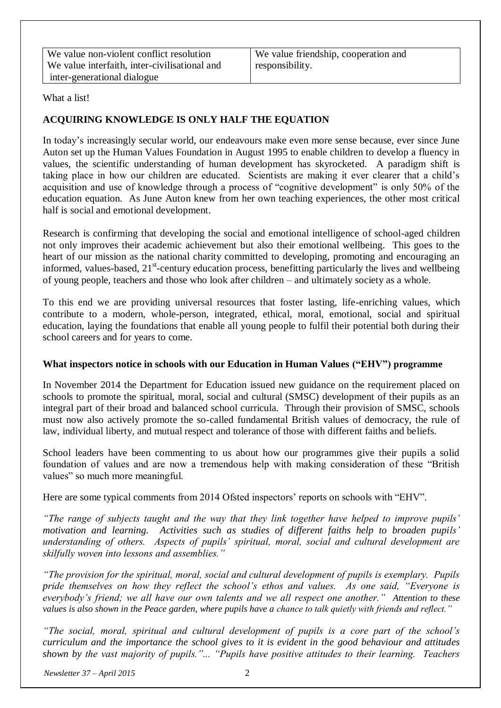We value non-violent conflict resolution We value interfaith, inter-civilisational and inter-generational dialogue

We value friendship, cooperation and responsibility.

What a list!

#### **ACQUIRING KNOWLEDGE IS ONLY HALF THE EQUATION**

In today's increasingly secular world, our endeavours make even more sense because, ever since June Auton set up the Human Values Foundation in August 1995 to enable children to develop a fluency in values, the scientific understanding of human development has skyrocketed. A paradigm shift is taking place in how our children are educated. Scientists are making it ever clearer that a child's acquisition and use of knowledge through a process of "cognitive development" is only 50% of the education equation. As June Auton knew from her own teaching experiences, the other most critical half is social and emotional development.

Research is confirming that developing the social and emotional intelligence of school-aged children not only improves their academic achievement but also their emotional wellbeing. This goes to the heart of our mission as the national charity committed to developing, promoting and encouraging an informed, values-based, 21<sup>st</sup>-century education process, benefitting particularly the lives and wellbeing of young people, teachers and those who look after children – and ultimately society as a whole.

To this end we are providing universal resources that foster lasting, life-enriching values, which contribute to a modern, whole-person, integrated, ethical, moral, emotional, social and spiritual education, laying the foundations that enable all young people to fulfil their potential both during their school careers and for years to come.

#### **What inspectors notice in schools with our Education in Human Values ("EHV") programme**

In November 2014 the Department for Education issued new guidance on the requirement placed on schools to promote the spiritual, moral, social and cultural (SMSC) development of their pupils as an integral part of their broad and balanced school curricula. Through their provision of SMSC, schools must now also actively promote the so-called fundamental British values of democracy, the rule of law, individual liberty, and mutual respect and tolerance of those with different faiths and beliefs.

School leaders have been commenting to us about how our programmes give their pupils a solid foundation of values and are now a tremendous help with making consideration of these "British values" so much more meaningful.

Here are some typical comments from 2014 Ofsted inspectors' reports on schools with "EHV".

*"The range of subjects taught and the way that they link together have helped to improve pupils' motivation and learning. Activities such as studies of different faiths help to broaden pupils' understanding of others. Aspects of pupils' spiritual, moral, social and cultural development are skilfully woven into lessons and assemblies."*

*"The provision for the spiritual, moral, social and cultural development of pupils is exemplary. Pupils pride themselves on how they reflect the school's ethos and values. As one said, "Everyone is everybody's friend; we all have our own talents and we all respect one another." Attention to these values is also shown in the Peace garden, where pupils have a chance to talk quietly with friends and reflect."*

*"The social, moral, spiritual and cultural development of pupils is a core part of the school's curriculum and the importance the school gives to it is evident in the good behaviour and attitudes shown by the vast majority of pupils."... "Pupils have positive attitudes to their learning. Teachers*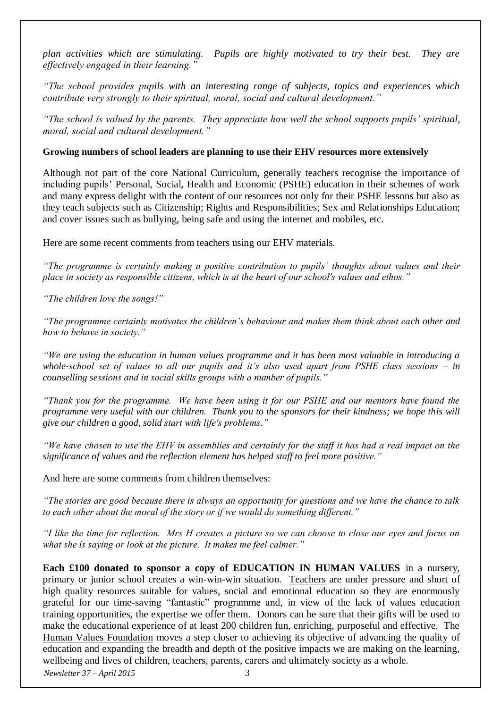*plan activities which are stimulating. Pupils are highly motivated to try their best. They are effectively engaged in their learning."*

*"The school provides pupils with an interesting range of subjects, topics and experiences which contribute very strongly to their spiritual, moral, social and cultural development."*

*"The school is valued by the parents. They appreciate how well the school supports pupils' spiritual, moral, social and cultural development."*

#### **Growing numbers of school leaders are planning to use their EHV resources more extensively**

Although not part of the core National Curriculum, generally teachers recognise the importance of including pupils' Personal, Social, Health and Economic (PSHE) education in their schemes of work and many express delight with the content of our resources not only for their PSHE lessons but also as they teach subjects such as Citizenship; Rights and Responsibilities; Sex and Relationships Education; and cover issues such as bullying, being safe and using the internet and mobiles, etc.

Here are some recent comments from teachers using our EHV materials.

*"The programme is certainly making a positive contribution to pupils' thoughts about values and their place in society as responsible citizens, which is at the heart of our school's values and ethos."*

*"The children love the songs!"*

*"The programme certainly motivates the children's behaviour and makes them think about each other and how to behave in society."* 

*"We are using the education in human values programme and it has been most valuable in introducing a whole-school set of values to all our pupils and it's also used apart from PSHE class sessions – in counselling sessions and in social skills groups with a number of pupils."*

*"Thank you for the programme. We have been using it for our PSHE and our mentors have found the programme very useful with our children. Thank you to the sponsors for their kindness; we hope this will give our children a good, solid start with life's problems."*

*"We have chosen to use the EHV in assemblies and certainly for the staff it has had a real impact on the significance of values and the reflection element has helped staff to feel more positive."* 

And here are some comments from children themselves:

*"The stories are good because there is always an opportunity for questions and we have the chance to talk to each other about the moral of the story or if we would do something different."* 

*"I like the time for reflection. Mrs H creates a picture so we can choose to close our eyes and focus on what she is saying or look at the picture. It makes me feel calmer."* 

**Each £100 donated to sponsor a copy of EDUCATION IN HUMAN VALUES** in a nursery, primary or junior school creates a win-win-win situation. Teachers are under pressure and short of high quality resources suitable for values, social and emotional education so they are enormously grateful for our time-saving "fantastic" programme and, in view of the lack of values education training opportunities, the expertise we offer them. Donors can be sure that their gifts will be used to make the educational experience of at least 200 children fun, enriching, purposeful and effective. The Human Values Foundation moves a step closer to achieving its objective of advancing the quality of education and expanding the breadth and depth of the positive impacts we are making on the learning, wellbeing and lives of children, teachers, parents, carers and ultimately society as a whole.

*Newsletter 37 – April 2015* 3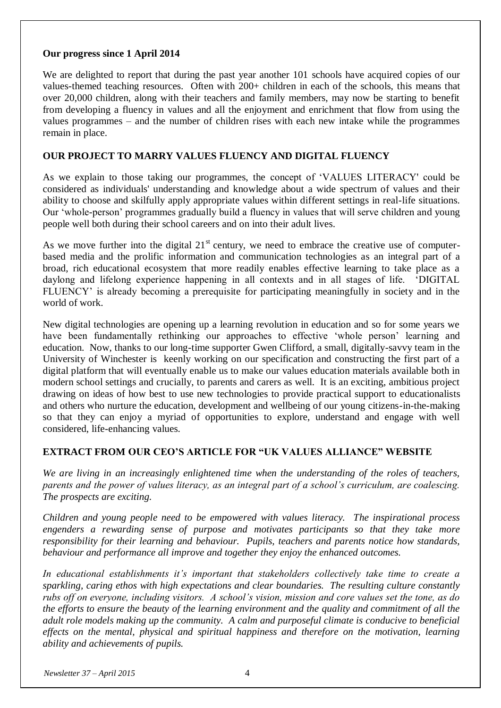#### **Our progress since 1 April 2014**

We are delighted to report that during the past year another 101 schools have acquired copies of our values-themed teaching resources. Often with 200+ children in each of the schools, this means that over 20,000 children, along with their teachers and family members, may now be starting to benefit from developing a fluency in values and all the enjoyment and enrichment that flow from using the values programmes – and the number of children rises with each new intake while the programmes remain in place.

#### **OUR PROJECT TO MARRY VALUES FLUENCY AND DIGITAL FLUENCY**

As we explain to those taking our programmes, the concept of 'VALUES LITERACY' could be considered as individuals' understanding and knowledge about a wide spectrum of values and their ability to choose and skilfully apply appropriate values within different settings in real-life situations. Our 'whole-person' programmes gradually build a fluency in values that will serve children and young people well both during their school careers and on into their adult lives.

As we move further into the digital  $21<sup>st</sup>$  century, we need to embrace the creative use of computerbased media and the prolific information and communication technologies as an integral part of a broad, rich educational ecosystem that more readily enables effective learning to take place as a daylong and lifelong experience happening in all contexts and in all stages of life. 'DIGITAL FLUENCY' is already becoming a prerequisite for participating meaningfully in society and in the world of work.

New digital technologies are opening up a learning revolution in education and so for some years we have been fundamentally rethinking our approaches to effective 'whole person' learning and education. Now, thanks to our long-time supporter Gwen Clifford, a small, digitally-savvy team in the University of Winchester is keenly working on our specification and constructing the first part of a digital platform that will eventually enable us to make our values education materials available both in modern school settings and crucially, to parents and carers as well. It is an exciting, ambitious project drawing on ideas of how best to use new technologies to provide practical support to educationalists and others who nurture the education, development and wellbeing of our young citizens-in-the-making so that they can enjoy a myriad of opportunities to explore, understand and engage with well considered, life-enhancing values.

#### **EXTRACT FROM OUR CEO'S ARTICLE FOR "UK VALUES ALLIANCE" WEBSITE**

*We are living in an increasingly enlightened time when the understanding of the roles of teachers, parents and the power of values literacy, as an integral part of a school's curriculum, are coalescing. The prospects are exciting.*

*Children and young people need to be empowered with values literacy. The inspirational process engenders a rewarding sense of purpose and motivates participants so that they take more responsibility for their learning and behaviour. Pupils, teachers and parents notice how standards, behaviour and performance all improve and together they enjoy the enhanced outcomes.*

*In educational establishments it's important that stakeholders collectively take time to create a sparkling, caring ethos with high expectations and clear boundaries. The resulting culture constantly rubs off on everyone, including visitors. A school's vision, mission and core values set the tone, as do the efforts to ensure the beauty of the learning environment and the quality and commitment of all the adult role models making up the community. A calm and purposeful climate is conducive to beneficial effects on the mental, physical and spiritual happiness and therefore on the motivation, learning ability and achievements of pupils.*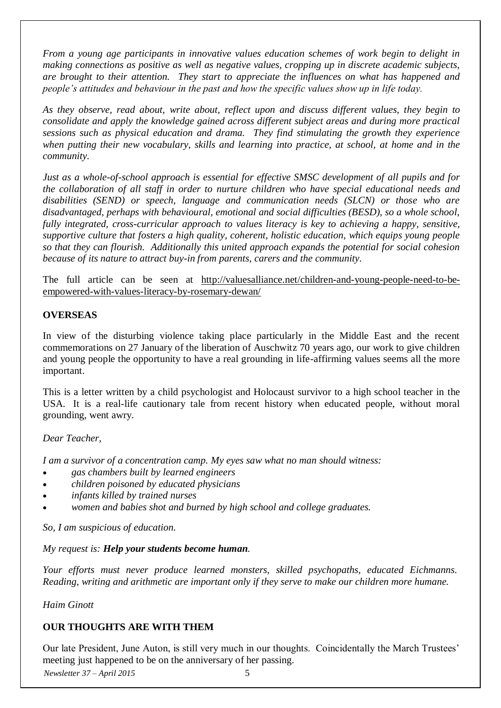*From a young age participants in innovative values education schemes of work begin to delight in making connections as positive as well as negative values, cropping up in discrete academic subjects, are brought to their attention. They start to appreciate the influences on what has happened and people's attitudes and behaviour in the past and how the specific values show up in life today.*

*As they observe, read about, write about, reflect upon and discuss different values, they begin to consolidate and apply the knowledge gained across different subject areas and during more practical sessions such as physical education and drama. They find stimulating the growth they experience when putting their new vocabulary, skills and learning into practice, at school, at home and in the community.* 

*Just as a whole-of-school approach is essential for effective SMSC development of all pupils and for the collaboration of all staff in order to nurture children who have special educational needs and disabilities (SEND) or speech, language and communication needs (SLCN) or those who are disadvantaged, perhaps with behavioural, emotional and social difficulties (BESD), so a whole school, fully integrated, cross-curricular approach to values literacy is key to achieving a happy, sensitive, supportive culture that fosters a high quality, coherent, holistic education, which equips young people so that they can flourish. Additionally this united approach expands the potential for social cohesion because of its nature to attract buy-in from parents, carers and the community.*

The full article can be seen at [http://valuesalliance.net/children-and-young-people-need-to-be](http://valuesalliance.net/children-and-young-people-need-to-be-empowered-with-values-literacy-by-rosemary-dewan/)[empowered-with-values-literacy-by-rosemary-dewan/](http://valuesalliance.net/children-and-young-people-need-to-be-empowered-with-values-literacy-by-rosemary-dewan/)

#### **OVERSEAS**

In view of the disturbing violence taking place particularly in the Middle East and the recent commemorations on 27 January of the liberation of Auschwitz 70 years ago, our work to give children and young people the opportunity to have a real grounding in life-affirming values seems all the more important.

This is a letter written by a child psychologist and Holocaust survivor to a high school teacher in the USA. It is a real-life cautionary tale from recent history when educated people, without moral grounding, went awry.

#### *Dear Teacher,*

*I am a survivor of a concentration camp. My eyes saw what no man should witness:*

- *gas chambers built by learned engineers*
- *children poisoned by educated physicians*
- *infants killed by trained nurses*
- *women and babies shot and burned by high school and college graduates.*

*So, I am suspicious of education.*

*My request is: Help your students become human.*

*Your efforts must never produce learned monsters, skilled psychopaths, educated Eichmanns. Reading, writing and arithmetic are important only if they serve to make our children more humane.*

*Haim Ginott*

#### **OUR THOUGHTS ARE WITH THEM**

*Newsletter 37 – April 2015* 5 Our late President, June Auton, is still very much in our thoughts. Coincidentally the March Trustees' meeting just happened to be on the anniversary of her passing.